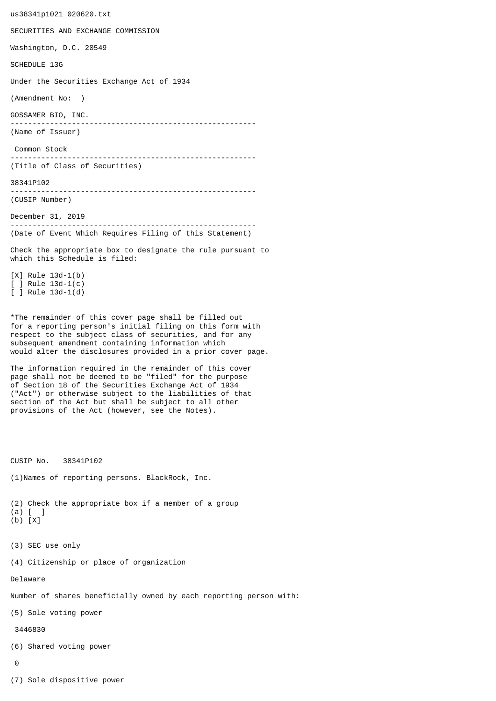us38341p1021\_020620.txt SECURITIES AND EXCHANGE COMMISSION Washington, D.C. 20549 SCHEDULE 13G Under the Securities Exchange Act of 1934 (Amendment No: ) GOSSAMER BIO, INC. -------------------------------------------------------- (Name of Issuer) Common Stock -------------------------------------------------------- (Title of Class of Securities) 38341P102 -------------------------------------------------------- (CUSIP Number) December 31, 2019 -------------------------------------------------------- (Date of Event Which Requires Filing of this Statement) Check the appropriate box to designate the rule pursuant to which this Schedule is filed: [X] Rule 13d-1(b) [ ] Rule 13d-1(c) [ ] Rule 13d-1(d) \*The remainder of this cover page shall be filled out for a reporting person's initial filing on this form with respect to the subject class of securities, and for any subsequent amendment containing information which would alter the disclosures provided in a prior cover page. The information required in the remainder of this cover page shall not be deemed to be "filed" for the purpose of Section 18 of the Securities Exchange Act of 1934 ("Act") or otherwise subject to the liabilities of that section of the Act but shall be subject to all other provisions of the Act (however, see the Notes). CUSIP No. 38341P102 (1)Names of reporting persons. BlackRock, Inc. (2) Check the appropriate box if a member of a group (a) [ ] (b) [X] (3) SEC use only (4) Citizenship or place of organization Delaware Number of shares beneficially owned by each reporting person with: (5) Sole voting power 3446830 (6) Shared voting power

 $\Omega$ 

(7) Sole dispositive power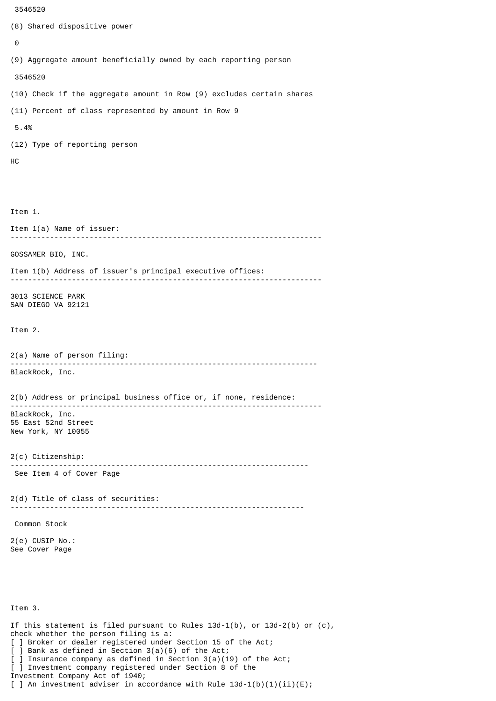```
 3546520
(8) Shared dispositive power
 \Omega(9) Aggregate amount beneficially owned by each reporting person
  3546520
(10) Check if the aggregate amount in Row (9) excludes certain shares
(11) Percent of class represented by amount in Row 9
  5.4%
(12) Type of reporting person
HC
Item 1.
Item 1(a) Name of issuer:
                              -----------------------------------------------------------------------
GOSSAMER BIO, INC.
Item 1(b) Address of issuer's principal executive offices:
-----------------------------------------------------------------------
3013 SCIENCE PARK
SAN DIEGO VA 92121
Item 2.
2(a) Name of person filing:
               ----------------------------------------------------------------------
BlackRock, Inc.
2(b) Address or principal business office or, if none, residence:
-----------------------------------------------------------------------
BlackRock, Inc.
55 East 52nd Street
New York, NY 10055
2(c) Citizenship:
                            --------------------------------------------------------------------
 See Item 4 of Cover Page
2(d) Title of class of securities:
                                      -------------------------------------------------------------------
  Common Stock
2(e) CUSIP No.:
See Cover Page
Item 3.
If this statement is filed pursuant to Rules 13d-1(b), or 13d-2(b) or (c),
check whether the person filing is a:
```
[ ] Broker or dealer registered under Section 15 of the Act;

[ ] Investment company registered under Section 8 of the

[ ] Insurance company as defined in Section 3(a)(19) of the Act;

[ ] An investment adviser in accordance with Rule  $13d-1(b)(1)(ii)(E)$ ;

[ ] Bank as defined in Section 3(a)(6) of the Act;

Investment Company Act of 1940;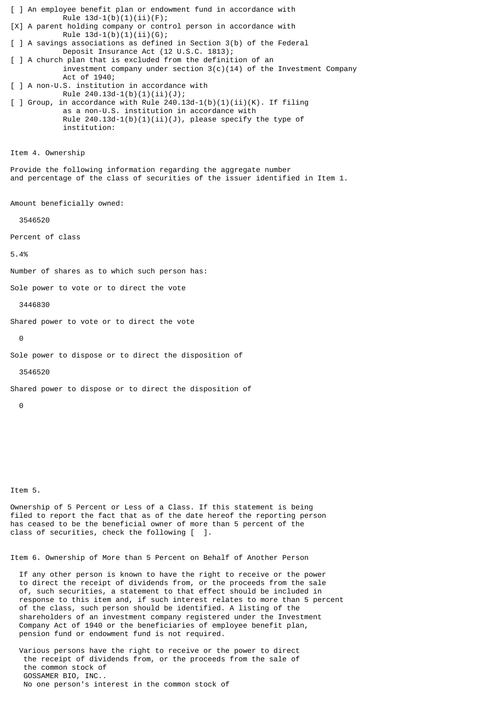[ ] An employee benefit plan or endowment fund in accordance with Rule  $13d-1(b)(1)(ii)(F);$ [X] A parent holding company or control person in accordance with Rule  $13d-1(b)(1)(ii)(G);$ [ ] A savings associations as defined in Section 3(b) of the Federal Deposit Insurance Act (12 U.S.C. 1813); [ ] A church plan that is excluded from the definition of an investment company under section  $3(c)(14)$  of the Investment Company Act of 1940; [ ] A non-U.S. institution in accordance with Rule  $240.13d-1(b)(1)(ii)(J);$  $[$  ] Group, in accordance with Rule 240.13d-1(b)(1)(ii)(K). If filing as a non-U.S. institution in accordance with Rule  $240.13d-1(b)(1)(ii)(J)$ , please specify the type of institution: Item 4. Ownership Provide the following information regarding the aggregate number and percentage of the class of securities of the issuer identified in Item 1. Amount beneficially owned: 3546520 Percent of class 5.4% Number of shares as to which such person has: Sole power to vote or to direct the vote 3446830 Shared power to vote or to direct the vote  $\boldsymbol{\Theta}$ Sole power to dispose or to direct the disposition of 3546520 Shared power to dispose or to direct the disposition of  $\Omega$ Item 5.

Ownership of 5 Percent or Less of a Class. If this statement is being filed to report the fact that as of the date hereof the reporting person has ceased to be the beneficial owner of more than 5 percent of the class of securities, check the following [ ].

Item 6. Ownership of More than 5 Percent on Behalf of Another Person

 If any other person is known to have the right to receive or the power to direct the receipt of dividends from, or the proceeds from the sale of, such securities, a statement to that effect should be included in response to this item and, if such interest relates to more than 5 percent of the class, such person should be identified. A listing of the shareholders of an investment company registered under the Investment Company Act of 1940 or the beneficiaries of employee benefit plan, pension fund or endowment fund is not required.

 Various persons have the right to receive or the power to direct the receipt of dividends from, or the proceeds from the sale of the common stock of GOSSAMER BIO, INC.. No one person's interest in the common stock of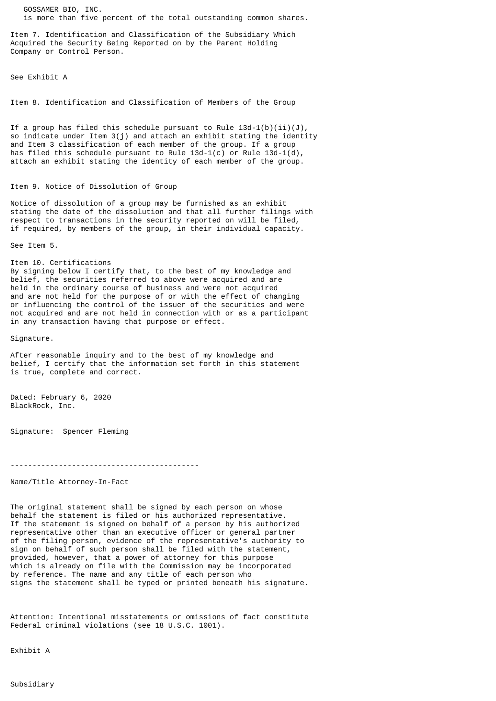GOSSAMER BIO, INC. is more than five percent of the total outstanding common shares.

Item 7. Identification and Classification of the Subsidiary Which Acquired the Security Being Reported on by the Parent Holding Company or Control Person.

See Exhibit A

Item 8. Identification and Classification of Members of the Group

If a group has filed this schedule pursuant to Rule  $13d-1(b)(ii)(J)$ , so indicate under Item 3(j) and attach an exhibit stating the identity and Item 3 classification of each member of the group. If a group has filed this schedule pursuant to Rule  $13d-1(c)$  or Rule  $13d-1(d)$ , attach an exhibit stating the identity of each member of the group.

Item 9. Notice of Dissolution of Group

Notice of dissolution of a group may be furnished as an exhibit stating the date of the dissolution and that all further filings with respect to transactions in the security reported on will be filed, if required, by members of the group, in their individual capacity.

See Item 5.

Item 10. Certifications By signing below I certify that, to the best of my knowledge and belief, the securities referred to above were acquired and are held in the ordinary course of business and were not acquired and are not held for the purpose of or with the effect of changing or influencing the control of the issuer of the securities and were not acquired and are not held in connection with or as a participant in any transaction having that purpose or effect.

Signature.

After reasonable inquiry and to the best of my knowledge and belief, I certify that the information set forth in this statement is true, complete and correct.

Dated: February 6, 2020 BlackRock, Inc.

Signature: Spencer Fleming

-------------------------------------------

Name/Title Attorney-In-Fact

The original statement shall be signed by each person on whose behalf the statement is filed or his authorized representative. If the statement is signed on behalf of a person by his authorized representative other than an executive officer or general partner of the filing person, evidence of the representative's authority to sign on behalf of such person shall be filed with the statement, provided, however, that a power of attorney for this purpose which is already on file with the Commission may be incorporated by reference. The name and any title of each person who signs the statement shall be typed or printed beneath his signature.

Attention: Intentional misstatements or omissions of fact constitute Federal criminal violations (see 18 U.S.C. 1001).

Exhibit A